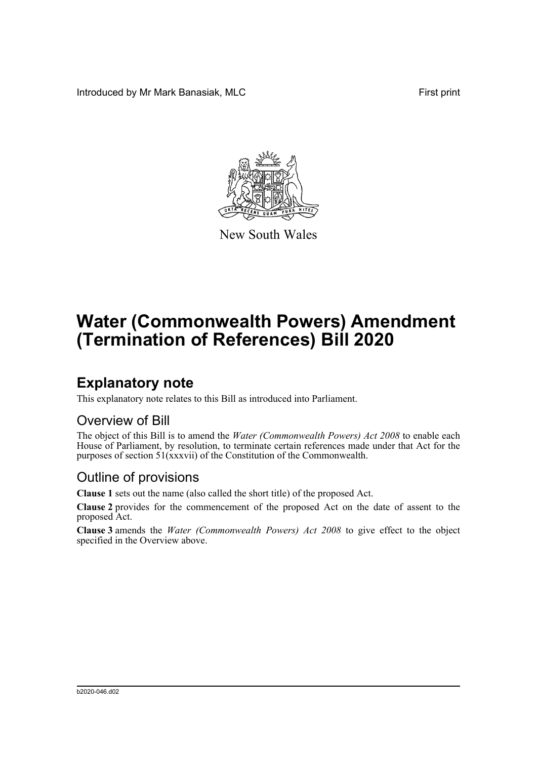Introduced by Mr Mark Banasiak, MLC **First print** 



New South Wales

# **Water (Commonwealth Powers) Amendment (Termination of References) Bill 2020**

## **Explanatory note**

This explanatory note relates to this Bill as introduced into Parliament.

#### Overview of Bill

The object of this Bill is to amend the *Water (Commonwealth Powers) Act 2008* to enable each House of Parliament, by resolution, to terminate certain references made under that Act for the purposes of section 51(xxxvii) of the Constitution of the Commonwealth.

#### Outline of provisions

**Clause 1** sets out the name (also called the short title) of the proposed Act.

**Clause 2** provides for the commencement of the proposed Act on the date of assent to the proposed Act.

**Clause 3** amends the *Water (Commonwealth Powers) Act 2008* to give effect to the object specified in the Overview above.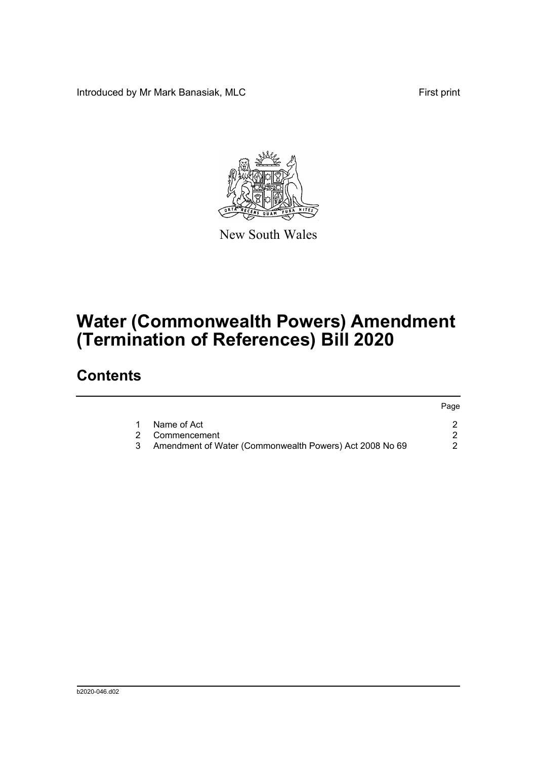Introduced by Mr Mark Banasiak, MLC **First print** First print



New South Wales

# **Water (Commonwealth Powers) Amendment (Termination of References) Bill 2020**

### **Contents**

|   |                                                         | Page |
|---|---------------------------------------------------------|------|
|   | Name of Act                                             |      |
|   | 2 Commencement                                          |      |
| 3 | Amendment of Water (Commonwealth Powers) Act 2008 No 69 |      |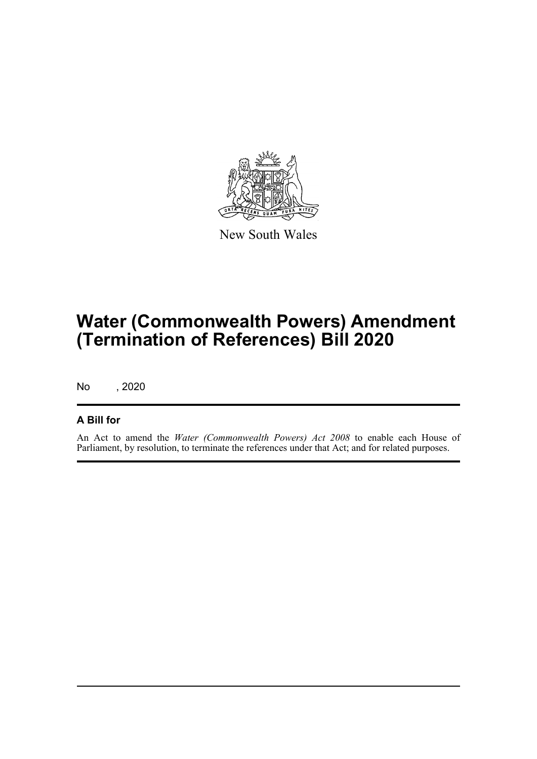

New South Wales

# **Water (Commonwealth Powers) Amendment (Termination of References) Bill 2020**

No , 2020

#### **A Bill for**

An Act to amend the *Water (Commonwealth Powers) Act 2008* to enable each House of Parliament, by resolution, to terminate the references under that Act; and for related purposes.